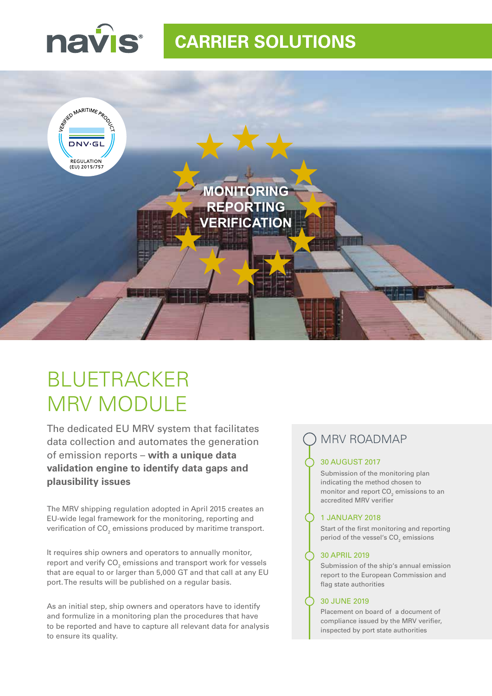

# **CARRIER SOLUTIONS**



# BLUETRACKER MRV MODULE

The dedicated EU MRV system that facilitates data collection and automates the generation of emission reports – **with a unique data validation engine to identify data gaps and plausibility issues**

The MRV shipping regulation adopted in April 2015 creates an EU-wide legal framework for the monitoring, reporting and verification of CO $_{_2}$  emissions produced by maritime transport.

It requires ship owners and operators to annually monitor, report and verify CO $_{\tiny 2}$  emissions and transport work for vessels that are equal to or larger than 5,000 GT and that call at any EU port. The results will be published on a regular basis.

As an initial step, ship owners and operators have to identify and formulize in a monitoring plan the procedures that have to be reported and have to capture all relevant data for analysis to ensure its quality.

## MRV ROADMAP

## 30 AUGUST 2017

Submission of the monitoring plan indicating the method chosen to monitor and report  $\mathsf{CO}_2$  emissions to an accredited MRV verifier

## 1 JANUARY 2018

Start of the first monitoring and reporting period of the vessel's  $\textsf{CO}_2$  emissions

## 30 APRIL 2019

Submission of the ship's annual emission report to the European Commission and flag state authorities

### 30 JUNE 2019

Placement on board of a document of compliance issued by the MRV verifier, inspected by port state authorities